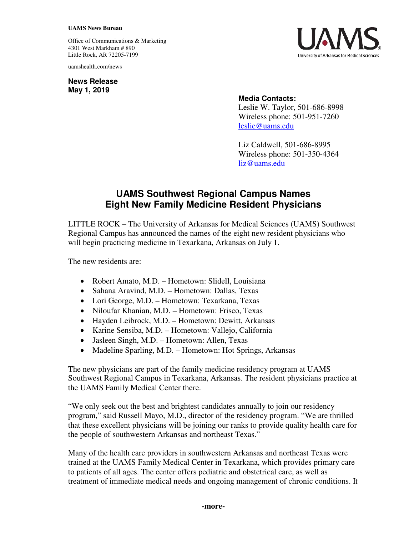## **UAMS News Bureau**

Office of Communications & Marketing 4301 West Markham # 890 Little Rock, AR 72205-7199

uamshealth.com/news

**News Release May 1, 2019**



## **Media Contacts:**

Leslie W. Taylor, 501-686-8998 Wireless phone: 501-951-7260 [leslie@uams.edu](mailto:leslie@uams.edu)

Liz Caldwell, 501-686-8995 Wireless phone: 501-350-4364 [liz@uams.edu](mailto:liz@uams.edu)

## **UAMS Southwest Regional Campus Names Eight New Family Medicine Resident Physicians**

LITTLE ROCK – The University of Arkansas for Medical Sciences (UAMS) Southwest Regional Campus has announced the names of the eight new resident physicians who will begin practicing medicine in Texarkana, Arkansas on July 1.

The new residents are:

- Robert Amato, M.D. Hometown: Slidell, Louisiana
- Sahana Aravind, M.D. Hometown: Dallas, Texas
- Lori George, M.D. Hometown: Texarkana, Texas
- Niloufar Khanian, M.D. Hometown: Frisco, Texas
- Hayden Leibrock, M.D. Hometown: Dewitt, Arkansas
- Karine Sensiba, M.D. Hometown: Vallejo, California
- Jasleen Singh, M.D. Hometown: Allen, Texas
- Madeline Sparling, M.D. Hometown: Hot Springs, Arkansas

The new physicians are part of the family medicine residency program at UAMS Southwest Regional Campus in Texarkana, Arkansas. The resident physicians practice at the UAMS Family Medical Center there.

"We only seek out the best and brightest candidates annually to join our residency program," said Russell Mayo, M.D., director of the residency program. "We are thrilled that these excellent physicians will be joining our ranks to provide quality health care for the people of southwestern Arkansas and northeast Texas."

Many of the health care providers in southwestern Arkansas and northeast Texas were trained at the UAMS Family Medical Center in Texarkana, which provides primary care to patients of all ages. The center offers pediatric and obstetrical care, as well as treatment of immediate medical needs and ongoing management of chronic conditions. It